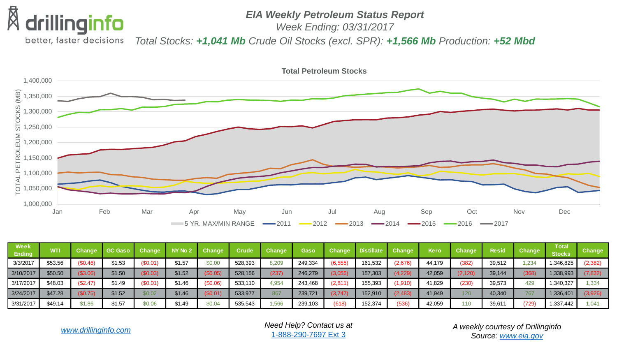

## *EIA Weekly Petroleum Status Report*

*Week Ending: 03/31/2017*

better, faster decisions *Total Stocks: +1,041 Mb Crude Oil Stocks (excl. SPR): +1,566 Mb Production: +52 Mbd*



| Week<br><b>Ending</b> | WTI     | Change   | GC Gaso Change |          | NY No 2 | <b>Change</b> | <b>Crude</b> | <b>Change</b> | <b>Gaso</b> |          | Change Distillate Change |         | Kero   | <b>Change</b> | <b>Resid</b> | <b>Change</b> | Total<br><b>Stocks</b> | Change   |
|-----------------------|---------|----------|----------------|----------|---------|---------------|--------------|---------------|-------------|----------|--------------------------|---------|--------|---------------|--------------|---------------|------------------------|----------|
| 3/3/2017              | \$53.56 | (\$0.46) | \$1.53         | (\$0.01" | \$1.57  | \$0.00        | 528,393      | 8,209         | 249,334     | (6, 555) | 161,532                  | [2,676] | 44,179 | (382)         | 39,512       | .234          | 1,346,825              | (2, 382) |
| 3/10/2017             | \$50.50 | \$3.06   | \$1.50         | \$0.03)  | \$1.52  | \$0.05)       | 528,156      | (237)         | 246,279     | 3,055    | 157,303                  | 4,229)  | 42,059 | (2,120        | 39,144       | 368           | 1,338,993              | (7, 832) |
| 3/17/2017             | \$48.03 | (\$2.47) | \$1.49         | \$0.01)  | \$1.46  | $$0.06$ )     | 533,110      | 4,954         | 243,468     | (2,811)  | 155,393                  | 1,910)  | 41,829 | (230)         | 39,573       | 429           | 1,340,327              | .334     |
| 3/24/2017             | \$47.28 | \$0.75)  | \$1.52         | \$0.02   | \$1.46  | \$0.01)       | 533,977      | 867           | 239,721     | 3.747    | 152,910                  | 2,483)  | 41,949 | 120           | 40,340       |               | 1,336,401              | (3,926)  |
| 3/31/2017             | \$49.14 | \$1.86   | \$1.57         | \$0.06   | \$1.49  | \$0.04        | 535,543      | .566          | 239,103     | (618)    | 152,374                  | (536)   | 42,059 | 110           | 39,611       | (729)         | 1,337,442              | 1.041    |

*Need Help? Contact us at* [1-888-290-7697 Ext 3](tel:(888) 290-7697)

*[www.drillinginfo.com](http://www.drillinginfo.com/) A weekly courtesy of Drillinginfo Source: [www.eia.gov](http://www.eia.gov/)*